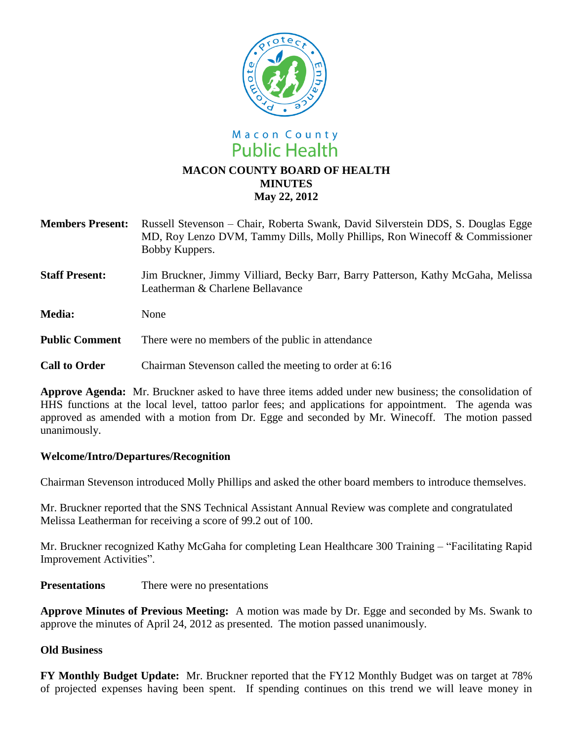

- **Members Present:** Russell Stevenson Chair, Roberta Swank, David Silverstein DDS, S. Douglas Egge MD, Roy Lenzo DVM, Tammy Dills, Molly Phillips, Ron Winecoff & Commissioner Bobby Kuppers.
- **Staff Present:** Jim Bruckner, Jimmy Villiard, Becky Barr, Barry Patterson, Kathy McGaha, Melissa Leatherman & Charlene Bellavance

**Media:** None

- **Public Comment** There were no members of the public in attendance
- **Call to Order** Chairman Stevenson called the meeting to order at 6:16

**Approve Agenda:** Mr. Bruckner asked to have three items added under new business; the consolidation of HHS functions at the local level, tattoo parlor fees; and applications for appointment. The agenda was approved as amended with a motion from Dr. Egge and seconded by Mr. Winecoff. The motion passed unanimously.

## **Welcome/Intro/Departures/Recognition**

Chairman Stevenson introduced Molly Phillips and asked the other board members to introduce themselves.

Mr. Bruckner reported that the SNS Technical Assistant Annual Review was complete and congratulated Melissa Leatherman for receiving a score of 99.2 out of 100.

Mr. Bruckner recognized Kathy McGaha for completing Lean Healthcare 300 Training – "Facilitating Rapid Improvement Activities".

**Presentations** There were no presentations

**Approve Minutes of Previous Meeting:** A motion was made by Dr. Egge and seconded by Ms. Swank to approve the minutes of April 24, 2012 as presented. The motion passed unanimously.

## **Old Business**

**FY Monthly Budget Update:** Mr. Bruckner reported that the FY12 Monthly Budget was on target at 78% of projected expenses having been spent. If spending continues on this trend we will leave money in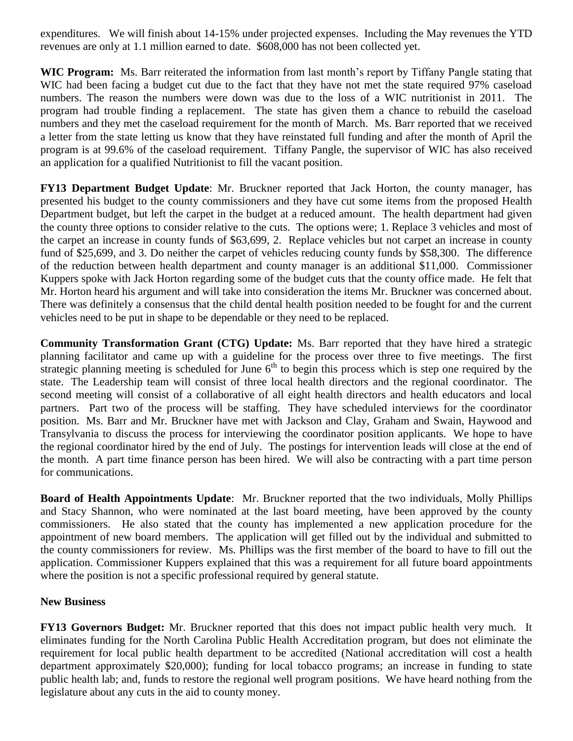expenditures. We will finish about 14-15% under projected expenses. Including the May revenues the YTD revenues are only at 1.1 million earned to date. \$608,000 has not been collected yet.

**WIC Program:** Ms. Barr reiterated the information from last month's report by Tiffany Pangle stating that WIC had been facing a budget cut due to the fact that they have not met the state required 97% caseload numbers. The reason the numbers were down was due to the loss of a WIC nutritionist in 2011. The program had trouble finding a replacement. The state has given them a chance to rebuild the caseload numbers and they met the caseload requirement for the month of March. Ms. Barr reported that we received a letter from the state letting us know that they have reinstated full funding and after the month of April the program is at 99.6% of the caseload requirement. Tiffany Pangle, the supervisor of WIC has also received an application for a qualified Nutritionist to fill the vacant position.

**FY13 Department Budget Update**: Mr. Bruckner reported that Jack Horton, the county manager, has presented his budget to the county commissioners and they have cut some items from the proposed Health Department budget, but left the carpet in the budget at a reduced amount. The health department had given the county three options to consider relative to the cuts. The options were; 1. Replace 3 vehicles and most of the carpet an increase in county funds of \$63,699, 2. Replace vehicles but not carpet an increase in county fund of \$25,699, and 3. Do neither the carpet of vehicles reducing county funds by \$58,300. The difference of the reduction between health department and county manager is an additional \$11,000. Commissioner Kuppers spoke with Jack Horton regarding some of the budget cuts that the county office made. He felt that Mr. Horton heard his argument and will take into consideration the items Mr. Bruckner was concerned about. There was definitely a consensus that the child dental health position needed to be fought for and the current vehicles need to be put in shape to be dependable or they need to be replaced.

**Community Transformation Grant (CTG) Update:** Ms. Barr reported that they have hired a strategic planning facilitator and came up with a guideline for the process over three to five meetings. The first strategic planning meeting is scheduled for June  $6<sup>th</sup>$  to begin this process which is step one required by the state. The Leadership team will consist of three local health directors and the regional coordinator. The second meeting will consist of a collaborative of all eight health directors and health educators and local partners. Part two of the process will be staffing. They have scheduled interviews for the coordinator position. Ms. Barr and Mr. Bruckner have met with Jackson and Clay, Graham and Swain, Haywood and Transylvania to discuss the process for interviewing the coordinator position applicants. We hope to have the regional coordinator hired by the end of July. The postings for intervention leads will close at the end of the month. A part time finance person has been hired. We will also be contracting with a part time person for communications.

**Board of Health Appointments Update**: Mr. Bruckner reported that the two individuals, Molly Phillips and Stacy Shannon, who were nominated at the last board meeting, have been approved by the county commissioners. He also stated that the county has implemented a new application procedure for the appointment of new board members. The application will get filled out by the individual and submitted to the county commissioners for review. Ms. Phillips was the first member of the board to have to fill out the application. Commissioner Kuppers explained that this was a requirement for all future board appointments where the position is not a specific professional required by general statute.

## **New Business**

**FY13 Governors Budget:** Mr. Bruckner reported that this does not impact public health very much. It eliminates funding for the North Carolina Public Health Accreditation program, but does not eliminate the requirement for local public health department to be accredited (National accreditation will cost a health department approximately \$20,000); funding for local tobacco programs; an increase in funding to state public health lab; and, funds to restore the regional well program positions. We have heard nothing from the legislature about any cuts in the aid to county money.